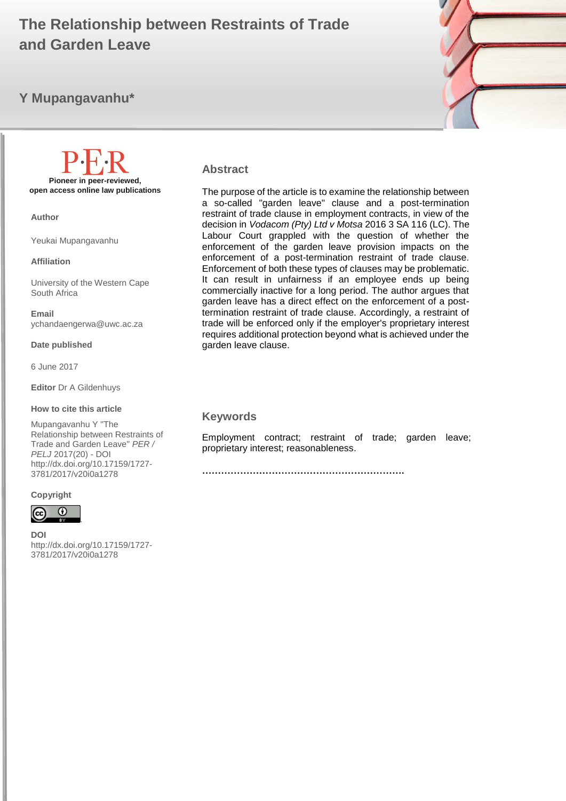# **And Garden Leave The Relationship between Restraints of Trade**

# **Y Mupangavanhu\***



**Pioneer in peer-reviewed, open access online law publications**

**Author**

Yeukai Mupangavanhu

**Affiliation**

University of the Western Cape South Africa

**Email** ychandaengerwa@uwc.ac.za

**Date published**

6 June 2017

**Editor** Dr A Gildenhuys

**How to cite this article** 

Mupangavanhu Y "The Relationship between Restraints of Trade and Garden Leave" *PER / PELJ* 2017(20) - DOI http://dx.doi.org/10.17159/1727- 3781/2017/v20i0a[1278](http://journals.assaf.org.za/index.php/per/editor/submission/1160) 

#### **Copyright**



**DOI** 

http://dx.doi.org/10.17159/1727- 3781/2017/v20i0a[1278](http://journals.assaf.org.za/index.php/per/editor/submission/1160)

.

#### **Abstract**

The purpose of the article is to examine the relationship between a so-called "garden leave" clause and a post-termination restraint of trade clause in employment contracts, in view of the decision in *Vodacom (Pty) Ltd v Motsa* 2016 3 SA 116 (LC). The Labour Court grappled with the question of whether the enforcement of the garden leave provision impacts on the enforcement of a post-termination restraint of trade clause. Enforcement of both these types of clauses may be problematic. It can result in unfairness if an employee ends up being commercially inactive for a long period. The author argues that garden leave has a direct effect on the enforcement of a posttermination restraint of trade clause. Accordingly, a restraint of trade will be enforced only if the employer's proprietary interest requires additional protection beyond what is achieved under the garden leave clause.

#### **Keywords**

Employment contract; restraint of trade; garden leave; proprietary interest; reasonableness.

**……………………………………………………….**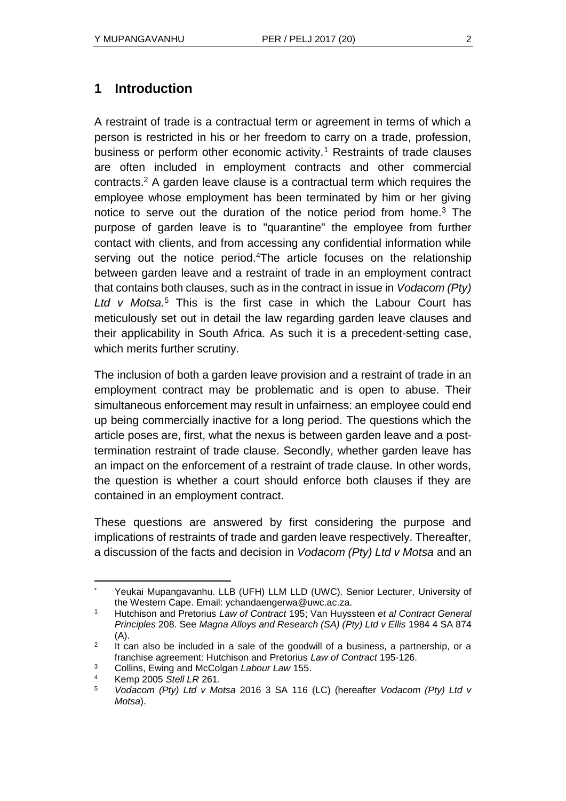# **1 Introduction**

A restraint of trade is a contractual term or agreement in terms of which a person is restricted in his or her freedom to carry on a trade, profession, business or perform other economic activity.<sup>1</sup> Restraints of trade clauses are often included in employment contracts and other commercial contracts.<sup>2</sup> A garden leave clause is a contractual term which requires the employee whose employment has been terminated by him or her giving notice to serve out the duration of the notice period from home.<sup>3</sup> The purpose of garden leave is to "quarantine" the employee from further contact with clients, and from accessing any confidential information while serving out the notice period.<sup>4</sup>The article focuses on the relationship between garden leave and a restraint of trade in an employment contract that contains both clauses, such as in the contract in issue in *Vodacom (Pty) Ltd v Motsa.*<sup>5</sup> This is the first case in which the Labour Court has meticulously set out in detail the law regarding garden leave clauses and their applicability in South Africa. As such it is a precedent-setting case, which merits further scrutiny.

The inclusion of both a garden leave provision and a restraint of trade in an employment contract may be problematic and is open to abuse. Their simultaneous enforcement may result in unfairness: an employee could end up being commercially inactive for a long period. The questions which the article poses are, first, what the nexus is between garden leave and a posttermination restraint of trade clause. Secondly, whether garden leave has an impact on the enforcement of a restraint of trade clause. In other words, the question is whether a court should enforce both clauses if they are contained in an employment contract.

These questions are answered by first considering the purpose and implications of restraints of trade and garden leave respectively. Thereafter, a discussion of the facts and decision in *Vodacom (Pty) Ltd v Motsa* and an

Yeukai Mupangavanhu. LLB (UFH) LLM LLD (UWC). Senior Lecturer, University of the Western Cape. Email: ychandaengerwa@uwc.ac.za.

<sup>1</sup> Hutchison and Pretorius *Law of Contract* 195; Van Huyssteen *et al Contract General Principles* 208. See *Magna Alloys and Research (SA) (Pty) Ltd v Ellis* 1984 4 SA 874 (A).

 $\mathfrak{p}$ It can also be included in a sale of the goodwill of a business, a partnership, or a franchise agreement: Hutchison and Pretorius *Law of Contract* 195-126.

<sup>3</sup> Collins, Ewing and McColgan *Labour Law* 155.

<sup>4</sup> Kemp 2005 *Stell LR* 261.

<sup>5</sup> *Vodacom (Pty) Ltd v Motsa* 2016 3 SA 116 (LC) (hereafter *Vodacom (Pty) Ltd v Motsa*).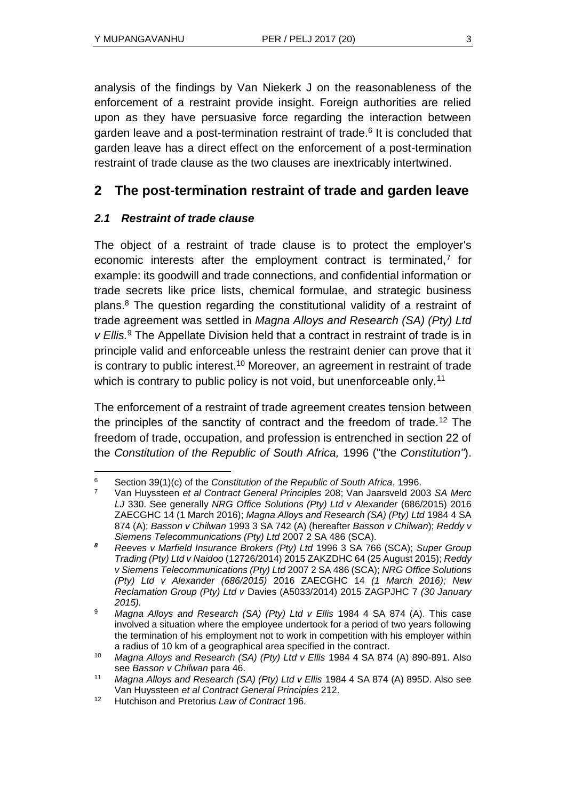analysis of the findings by Van Niekerk J on the reasonableness of the enforcement of a restraint provide insight. Foreign authorities are relied upon as they have persuasive force regarding the interaction between garden leave and a post-termination restraint of trade.<sup>6</sup> It is concluded that garden leave has a direct effect on the enforcement of a post-termination restraint of trade clause as the two clauses are inextricably intertwined.

# **2 The post-termination restraint of trade and garden leave**

## *2.1 Restraint of trade clause*

The object of a restraint of trade clause is to protect the employer's economic interests after the employment contract is terminated, $<sup>7</sup>$  for</sup> example: its goodwill and trade connections, and confidential information or trade secrets like price lists, chemical formulae, and strategic business plans.<sup>8</sup> The question regarding the constitutional validity of a restraint of trade agreement was settled in *Magna Alloys and Research (SA) (Pty) Ltd v Ellis.*<sup>9</sup> The Appellate Division held that a contract in restraint of trade is in principle valid and enforceable unless the restraint denier can prove that it is contrary to public interest.<sup>10</sup> Moreover, an agreement in restraint of trade which is contrary to public policy is not void, but unenforceable only.<sup>11</sup>

The enforcement of a restraint of trade agreement creates tension between the principles of the sanctity of contract and the freedom of trade.<sup>12</sup> The freedom of trade, occupation, and profession is entrenched in section 22 of the *Constitution of the Republic of South Africa,* 1996 ("the *Constitution"*).

l <sup>6</sup> Section 39(1)(c) of the *Constitution of the Republic of South Africa*, 1996.

<sup>7</sup> Van Huyssteen *et al Contract General Principles* 208; Van Jaarsveld 2003 *SA Merc*  LJ 330. See generally *NRG Office Solutions (Pty) Ltd v Alexander* (686/2015) 2016 ZAECGHC 14 (1 March 2016); *Magna Alloys and Research (SA) (Pty) Ltd* 1984 4 SA 874 (A); *Basson v Chilwan* 1993 3 SA 742 (A) (hereafter *Basson v Chilwan*); *Reddy v Siemens Telecommunications (Pty) Ltd* 2007 2 SA 486 (SCA).

*<sup>8</sup> Reeves v Marfield Insurance Brokers (Pty) Ltd* 1996 3 SA 766 (SCA); *Super Group Trading (Pty) Ltd v Naidoo* (12726/2014) 2015 ZAKZDHC 64 (25 August 2015); *Reddy v Siemens Telecommunications (Pty) Ltd* 2007 2 SA 486 (SCA); *NRG Office Solutions (Pty) Ltd v Alexander (686/2015)* 2016 ZAECGHC 14 *(1 March 2016); New Reclamation Group (Pty) Ltd v* Davies (A5033/2014) 2015 ZAGPJHC 7 *(30 January 2015).*

<sup>9</sup> *Magna Alloys and Research (SA) (Pty) Ltd v Ellis* 1984 4 SA 874 (A). This case involved a situation where the employee undertook for a period of two years following the termination of his employment not to work in competition with his employer within a radius of 10 km of a geographical area specified in the contract.

<sup>10</sup> *Magna Alloys and Research (SA) (Pty) Ltd v Ellis* 1984 4 SA 874 (A) 890-891. Also see *Basson v Chilwan* para 46.

<sup>11</sup> *Magna Alloys and Research (SA) (Pty) Ltd v Ellis* 1984 4 SA 874 (A) 895D. Also see Van Huyssteen *et al Contract General Principles* 212.

<sup>12</sup> Hutchison and Pretorius *Law of Contract* 196.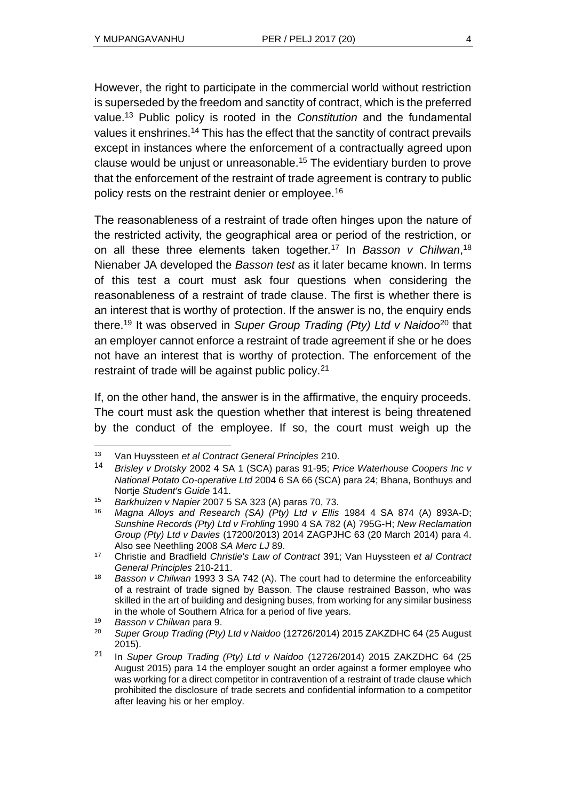However, the right to participate in the commercial world without restriction is superseded by the freedom and sanctity of contract, which is the preferred value.<sup>13</sup> Public policy is rooted in the *Constitution* and the fundamental values it enshrines.<sup>14</sup> This has the effect that the sanctity of contract prevails except in instances where the enforcement of a contractually agreed upon clause would be unjust or unreasonable.<sup>15</sup> The evidentiary burden to prove that the enforcement of the restraint of trade agreement is contrary to public policy rests on the restraint denier or employee.<sup>16</sup>

The reasonableness of a restraint of trade often hinges upon the nature of the restricted activity, the geographical area or period of the restriction, or on all these three elements taken together.<sup>17</sup> In *Basson v Chilwan*, 18 Nienaber JA developed the *Basson test* as it later became known. In terms of this test a court must ask four questions when considering the reasonableness of a restraint of trade clause. The first is whether there is an interest that is worthy of protection. If the answer is no, the enquiry ends there.<sup>19</sup> It was observed in *Super Group Trading (Pty) Ltd v Naidoo*<sup>20</sup> that an employer cannot enforce a restraint of trade agreement if she or he does not have an interest that is worthy of protection. The enforcement of the restraint of trade will be against public policy.<sup>21</sup>

If, on the other hand, the answer is in the affirmative, the enquiry proceeds. The court must ask the question whether that interest is being threatened by the conduct of the employee. If so, the court must weigh up the

 $\overline{a}$ 

<sup>13</sup> Van Huyssteen *et al Contract General Principles* 210.

<sup>14</sup> *Brisley v Drotsky* 2002 4 SA 1 (SCA) paras 91-95; *Price Waterhouse Coopers Inc v National Potato Co-operative Ltd* 2004 6 SA 66 (SCA) para 24; Bhana, Bonthuys and Nortje *Student's Guide* 141.

<sup>15</sup> *Barkhuizen v Napier* 2007 5 SA 323 (A) paras 70, 73.

<sup>16</sup> *Magna Alloys and Research (SA) (Pty) Ltd v Ellis* 1984 4 SA 874 (A) 893A-D; *Sunshine Records (Pty) Ltd v Frohling* 1990 4 SA 782 (A) 795G-H; *New Reclamation Group (Pty) Ltd v Davies* (17200/2013) 2014 ZAGPJHC 63 (20 March 2014) para 4. Also see Neethling 2008 *SA Merc LJ* 89.

<sup>17</sup> Christie and Bradfield *Christie's Law of Contract* 391; Van Huyssteen *et al Contract General Principles* 210-211.

<sup>18</sup> *Basson v Chilwan* 1993 3 SA 742 (A). The court had to determine the enforceability of a restraint of trade signed by Basson. The clause restrained Basson, who was skilled in the art of building and designing buses, from working for any similar business in the whole of Southern Africa for a period of five years.

<sup>19</sup> *Basson v Chilwan* para 9.

<sup>20</sup> *Super Group Trading (Pty) Ltd v Naidoo* (12726/2014) 2015 ZAKZDHC 64 (25 August 2015).

<sup>21</sup> In *Super Group Trading (Pty) Ltd v Naidoo* (12726/2014) 2015 ZAKZDHC 64 (25 August 2015) para 14 the employer sought an order against a former employee who was working for a direct competitor in contravention of a restraint of trade clause which prohibited the disclosure of trade secrets and confidential information to a competitor after leaving his or her employ.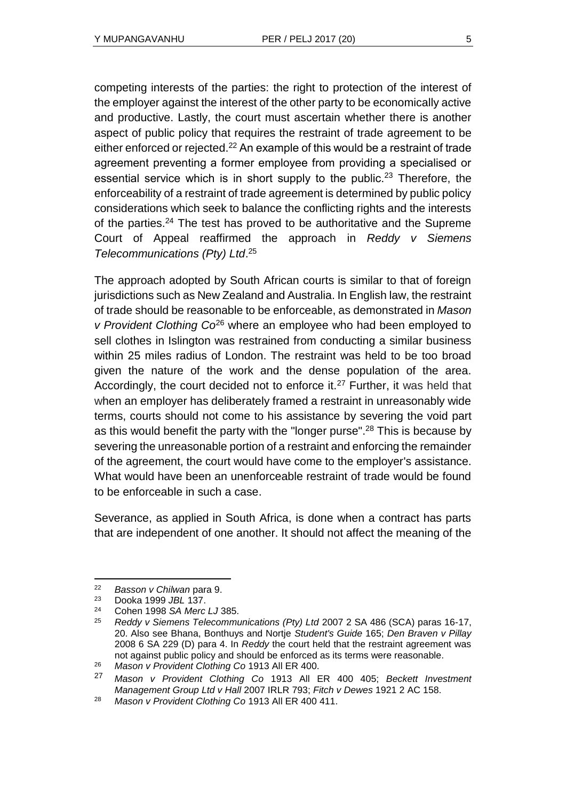competing interests of the parties: the right to protection of the interest of the employer against the interest of the other party to be economically active and productive. Lastly, the court must ascertain whether there is another aspect of public policy that requires the restraint of trade agreement to be either enforced or rejected.<sup>22</sup> An example of this would be a restraint of trade agreement preventing a former employee from providing a specialised or essential service which is in short supply to the public.<sup>23</sup> Therefore, the enforceability of a restraint of trade agreement is determined by public policy considerations which seek to balance the conflicting rights and the interests of the parties.<sup>24</sup> The test has proved to be authoritative and the Supreme Court of Appeal reaffirmed the approach in *Reddy v Siemens Telecommunications (Pty) Ltd*. 25

The approach adopted by South African courts is similar to that of foreign jurisdictions such as New Zealand and Australia. In English law, the restraint of trade should be reasonable to be enforceable, as demonstrated in *Mason v Provident Clothing Co*<sup>26</sup> where an employee who had been employed to sell clothes in Islington was restrained from conducting a similar business within 25 miles radius of London. The restraint was held to be too broad given the nature of the work and the dense population of the area. Accordingly, the court decided not to enforce it.<sup>27</sup> Further, it was held that when an employer has deliberately framed a restraint in unreasonably wide terms, courts should not come to his assistance by severing the void part as this would benefit the party with the "longer purse".<sup>28</sup> This is because by severing the unreasonable portion of a restraint and enforcing the remainder of the agreement, the court would have come to the employer's assistance. What would have been an unenforceable restraint of trade would be found to be enforceable in such a case.

Severance, as applied in South Africa, is done when a contract has parts that are independent of one another. It should not affect the meaning of the

<sup>22</sup> *Basson v Chilwan* para 9.

<sup>23</sup> Dooka 1999 *JBL* 137.

<sup>24</sup> Cohen 1998 *SA Merc LJ* 385.

<sup>25</sup> *Reddy v Siemens Telecommunications (Pty) Ltd* 2007 2 SA 486 (SCA) paras 16-17, 20. Also see Bhana, Bonthuys and Nortje *Student's Guide* 165; *Den Braven v Pillay*  2008 6 SA 229 (D) para 4. In *Reddy* the court held that the restraint agreement was not against public policy and should be enforced as its terms were reasonable.

<sup>26</sup> *Mason v Provident Clothing Co* 1913 All ER 400.

<sup>27</sup> *Mason v Provident Clothing Co* 1913 All ER 400 405; *Beckett Investment Management Group Ltd v Hall* 2007 IRLR 793; *Fitch v Dewes* 1921 2 AC 158.

<sup>28</sup> *Mason v Provident Clothing Co* 1913 All ER 400 411.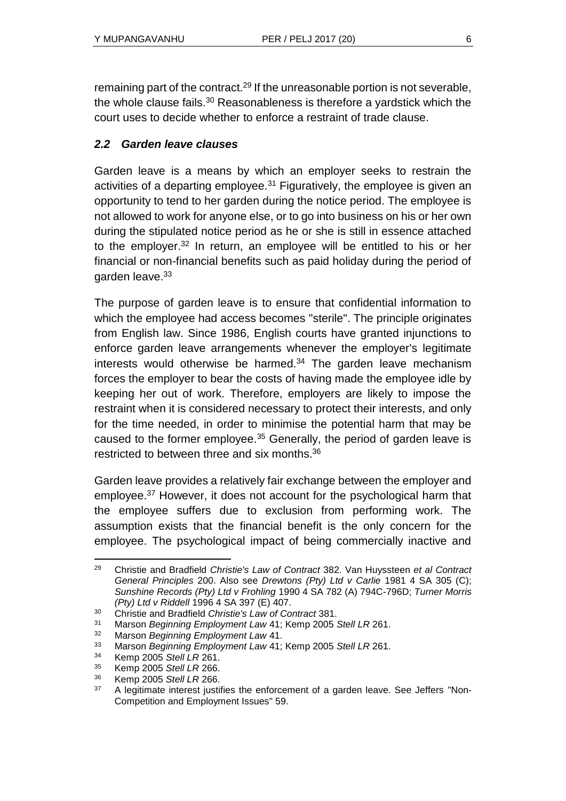remaining part of the contract.<sup>29</sup> If the unreasonable portion is not severable, the whole clause fails. $30$  Reasonableness is therefore a yardstick which the court uses to decide whether to enforce a restraint of trade clause.

## *2.2 Garden leave clauses*

Garden leave is a means by which an employer seeks to restrain the activities of a departing employee.<sup>31</sup> Figuratively, the employee is given an opportunity to tend to her garden during the notice period. The employee is not allowed to work for anyone else, or to go into business on his or her own during the stipulated notice period as he or she is still in essence attached to the employer.<sup>32</sup> In return, an employee will be entitled to his or her financial or non-financial benefits such as paid holiday during the period of garden leave.<sup>33</sup>

The purpose of garden leave is to ensure that confidential information to which the employee had access becomes "sterile". The principle originates from English law. Since 1986, English courts have granted injunctions to enforce garden leave arrangements whenever the employer's legitimate interests would otherwise be harmed. $34$  The garden leave mechanism forces the employer to bear the costs of having made the employee idle by keeping her out of work. Therefore, employers are likely to impose the restraint when it is considered necessary to protect their interests, and only for the time needed, in order to minimise the potential harm that may be caused to the former employee.<sup>35</sup> Generally, the period of garden leave is restricted to between three and six months.<sup>36</sup>

Garden leave provides a relatively fair exchange between the employer and employee.<sup>37</sup> However, it does not account for the psychological harm that the employee suffers due to exclusion from performing work. The assumption exists that the financial benefit is the only concern for the employee. The psychological impact of being commercially inactive and

l <sup>29</sup> Christie and Bradfield *Christie's Law of Contract* 382. Van Huyssteen *et al Contract General Principles* 200. Also see *Drewtons (Pty) Ltd v Carlie* 1981 4 SA 305 (C); *Sunshine Records (Pty) Ltd v Frohling* 1990 4 SA 782 (A) 794C-796D; *Turner Morris (Pty) Ltd v Riddell* 1996 4 SA 397 (E) 407.

<sup>30</sup> Christie and Bradfield *Christie's Law of Contract* 381.

<sup>31</sup> Marson *Beginning Employment Law* 41; Kemp 2005 *Stell LR* 261.

<sup>32</sup> Marson *Beginning Employment Law* 41.

<sup>33</sup> Marson *Beginning Employment Law* 41; Kemp 2005 *Stell LR* 261.

<sup>34</sup> Kemp 2005 *Stell LR* 261.

<sup>35</sup> Kemp 2005 *Stell LR* 266.

<sup>36</sup> Kemp 2005 *Stell LR* 266.

<sup>&</sup>lt;sup>37</sup> A legitimate interest justifies the enforcement of a garden leave. See Jeffers "Non-Competition and Employment Issues" 59.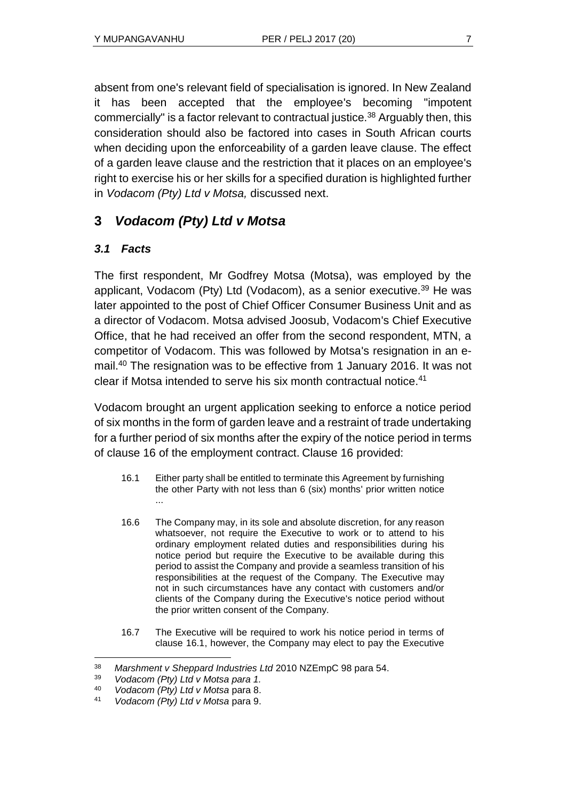absent from one's relevant field of specialisation is ignored. In New Zealand it has been accepted that the employee's becoming "impotent commercially" is a factor relevant to contractual justice.<sup>38</sup> Arguably then, this consideration should also be factored into cases in South African courts when deciding upon the enforceability of a garden leave clause. The effect of a garden leave clause and the restriction that it places on an employee's right to exercise his or her skills for a specified duration is highlighted further in *Vodacom (Pty) Ltd v Motsa,* discussed next.

# **3** *Vodacom (Pty) Ltd v Motsa*

# *3.1 Facts*

The first respondent, Mr Godfrey Motsa (Motsa), was employed by the applicant, Vodacom (Pty) Ltd (Vodacom), as a senior executive.<sup>39</sup> He was later appointed to the post of Chief Officer Consumer Business Unit and as a director of Vodacom. Motsa advised Joosub, Vodacom's Chief Executive Office, that he had received an offer from the second respondent, MTN, a competitor of Vodacom. This was followed by Motsa's resignation in an email.<sup>40</sup> The resignation was to be effective from 1 January 2016. It was not clear if Motsa intended to serve his six month contractual notice.<sup>41</sup>

Vodacom brought an urgent application seeking to enforce a notice period of six months in the form of garden leave and a restraint of trade undertaking for a further period of six months after the expiry of the notice period in terms of clause 16 of the employment contract. Clause 16 provided:

- 16.1 Either party shall be entitled to terminate this Agreement by furnishing the other Party with not less than 6 (six) months' prior written notice ...
- 16.6 The Company may, in its sole and absolute discretion, for any reason whatsoever, not require the Executive to work or to attend to his ordinary employment related duties and responsibilities during his notice period but require the Executive to be available during this period to assist the Company and provide a seamless transition of his responsibilities at the request of the Company. The Executive may not in such circumstances have any contact with customers and/or clients of the Company during the Executive's notice period without the prior written consent of the Company.
- 16.7 The Executive will be required to work his notice period in terms of clause 16.1, however, the Company may elect to pay the Executive

l <sup>38</sup> *Marshment v Sheppard Industries Ltd* 2010 NZEmpC 98 para 54.

<sup>39</sup> *Vodacom (Pty) Ltd v Motsa para 1.*

<sup>40</sup> *Vodacom (Pty) Ltd v Motsa* para 8.

<sup>41</sup> *Vodacom (Pty) Ltd v Motsa* para 9.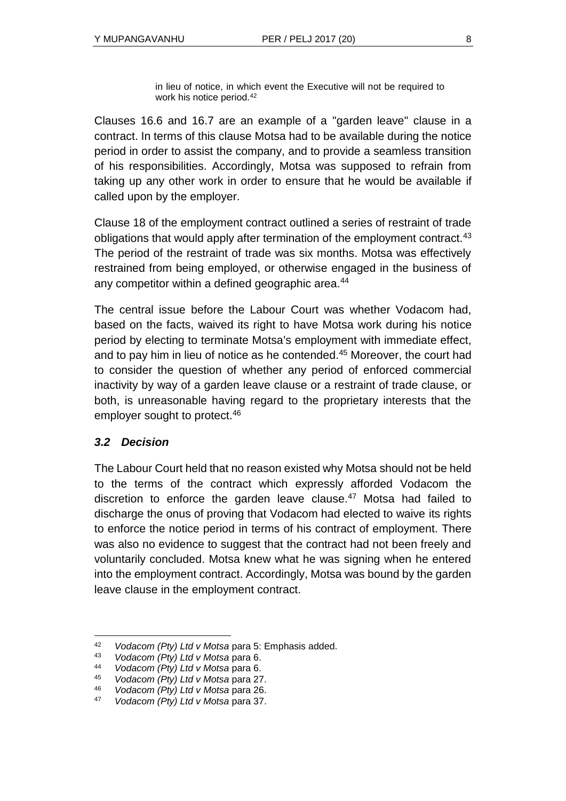in lieu of notice, in which event the Executive will not be required to work his notice period.<sup>42</sup>

Clauses 16.6 and 16.7 are an example of a "garden leave" clause in a contract. In terms of this clause Motsa had to be available during the notice period in order to assist the company, and to provide a seamless transition of his responsibilities. Accordingly, Motsa was supposed to refrain from taking up any other work in order to ensure that he would be available if called upon by the employer.

Clause 18 of the employment contract outlined a series of restraint of trade obligations that would apply after termination of the employment contract.<sup>43</sup> The period of the restraint of trade was six months. Motsa was effectively restrained from being employed, or otherwise engaged in the business of any competitor within a defined geographic area.<sup>44</sup>

The central issue before the Labour Court was whether Vodacom had, based on the facts, waived its right to have Motsa work during his notice period by electing to terminate Motsa's employment with immediate effect, and to pay him in lieu of notice as he contended.<sup>45</sup> Moreover, the court had to consider the question of whether any period of enforced commercial inactivity by way of a garden leave clause or a restraint of trade clause, or both, is unreasonable having regard to the proprietary interests that the employer sought to protect.<sup>46</sup>

#### *3.2 Decision*

l

The Labour Court held that no reason existed why Motsa should not be held to the terms of the contract which expressly afforded Vodacom the discretion to enforce the garden leave clause.<sup>47</sup> Motsa had failed to discharge the onus of proving that Vodacom had elected to waive its rights to enforce the notice period in terms of his contract of employment. There was also no evidence to suggest that the contract had not been freely and voluntarily concluded. Motsa knew what he was signing when he entered into the employment contract. Accordingly, Motsa was bound by the garden leave clause in the employment contract.

<sup>42</sup> *Vodacom (Pty) Ltd v Motsa* para 5: Emphasis added.

<sup>43</sup> *Vodacom (Pty) Ltd v Motsa* para 6.

<sup>44</sup> *Vodacom (Pty) Ltd v Motsa* para 6.

<sup>45</sup> *Vodacom (Pty) Ltd v Motsa* para 27.

<sup>46</sup> *Vodacom (Pty) Ltd v Motsa* para 26.

<sup>47</sup> *Vodacom (Pty) Ltd v Motsa* para 37.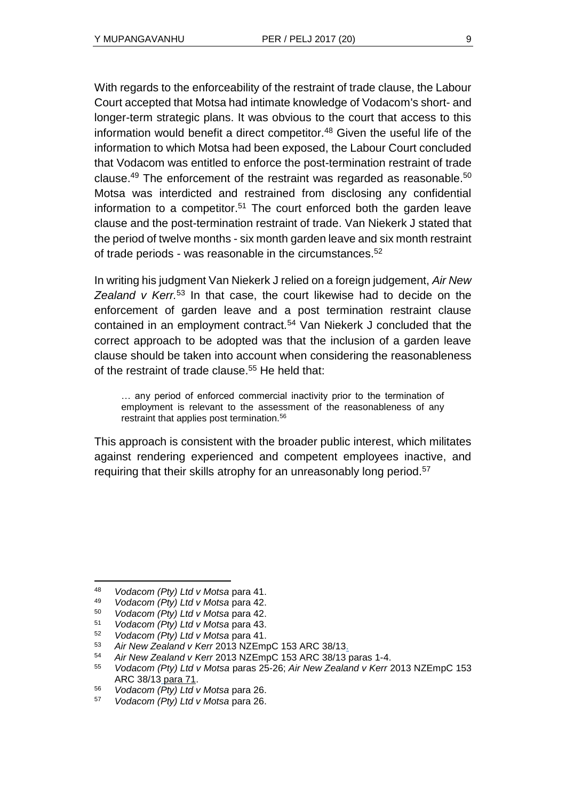With regards to the enforceability of the restraint of trade clause, the Labour Court accepted that Motsa had intimate knowledge of Vodacom's short- and longer-term strategic plans. It was obvious to the court that access to this information would benefit a direct competitor. $48$  Given the useful life of the information to which Motsa had been exposed, the Labour Court concluded that Vodacom was entitled to enforce the post-termination restraint of trade clause.<sup>49</sup> The enforcement of the restraint was regarded as reasonable.<sup>50</sup> Motsa was interdicted and restrained from disclosing any confidential information to a competitor.<sup>51</sup> The court enforced both the garden leave clause and the post-termination restraint of trade. Van Niekerk J stated that the period of twelve months - six month garden leave and six month restraint of trade periods - was reasonable in the circumstances.<sup>52</sup>

In writing his judgment Van Niekerk J relied on a foreign judgement, *Air New Zealand v Kerr.*<sup>53</sup> In that case, the court likewise had to decide on the enforcement of garden leave and a post termination restraint clause contained in an employment contract*.* <sup>54</sup> Van Niekerk J concluded that the correct approach to be adopted was that the inclusion of a garden leave clause should be taken into account when considering the reasonableness of the restraint of trade clause.<sup>55</sup> He held that:

… any period of enforced commercial inactivity prior to the termination of employment is relevant to the assessment of the reasonableness of any restraint that applies post termination.<sup>56</sup>

This approach is consistent with the broader public interest, which militates against rendering experienced and competent employees inactive, and requiring that their skills atrophy for an unreasonably long period.<sup>57</sup>

<sup>48</sup> *Vodacom (Pty) Ltd v Motsa* para 41.

<sup>49</sup> *Vodacom (Pty) Ltd v Motsa* para 42.

<sup>50</sup> *Vodacom (Pty) Ltd v Motsa* para 42.

<sup>51</sup> *Vodacom (Pty) Ltd v Motsa* para 43.

<sup>52</sup> *Vodacom (Pty) Ltd v Motsa* para 41.

<sup>53</sup> *Air New Zealand v Kerr* 2013 NZEmpC 153 ARC 38/13.

<sup>54</sup> *Air New Zealand v Kerr* 2013 NZEmpC 153 ARC 38/13 paras 1-4.

<sup>55</sup> *Vodacom (Pty) Ltd v Motsa* paras 25-26; *Air New Zealand v Kerr* 2013 NZEmpC 153 ARC 38/13 para 71.

<sup>56</sup> *Vodacom (Pty) Ltd v Motsa* para 26.

<sup>57</sup> *Vodacom (Pty) Ltd v Motsa* para 26.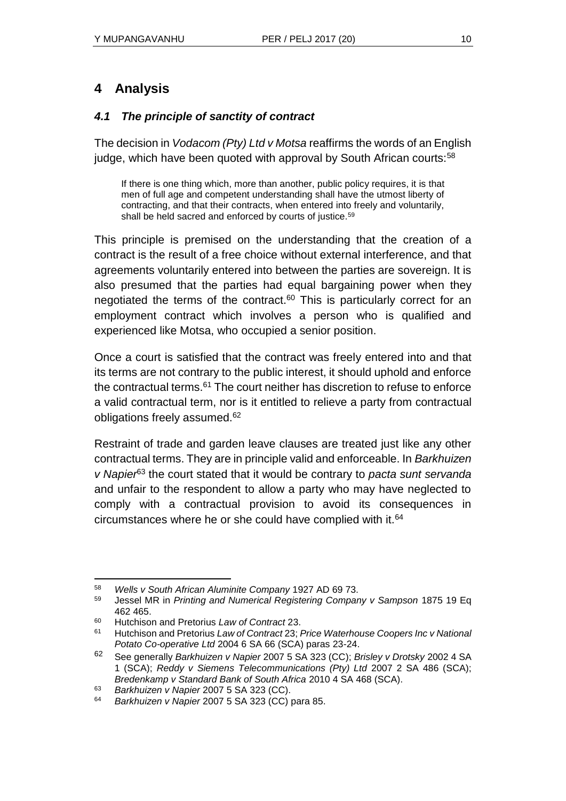# **4 Analysis**

#### *4.1 The principle of sanctity of contract*

The decision in *Vodacom (Pty) Ltd v Motsa* reaffirms the words of an English judge, which have been quoted with approval by South African courts:<sup>58</sup>

If there is one thing which, more than another, public policy requires, it is that men of full age and competent understanding shall have the utmost liberty of contracting, and that their contracts, when entered into freely and voluntarily, shall be held sacred and enforced by courts of justice.<sup>59</sup>

This principle is premised on the understanding that the creation of a contract is the result of a free choice without external interference, and that agreements voluntarily entered into between the parties are sovereign. It is also presumed that the parties had equal bargaining power when they negotiated the terms of the contract.<sup>60</sup> This is particularly correct for an employment contract which involves a person who is qualified and experienced like Motsa, who occupied a senior position.

Once a court is satisfied that the contract was freely entered into and that its terms are not contrary to the public interest, it should uphold and enforce the contractual terms.<sup>61</sup> The court neither has discretion to refuse to enforce a valid contractual term, nor is it entitled to relieve a party from contractual obligations freely assumed.<sup>62</sup>

Restraint of trade and garden leave clauses are treated just like any other contractual terms. They are in principle valid and enforceable. In *Barkhuizen v Napier*<sup>63</sup> the court stated that it would be contrary to *pacta sunt servanda* and unfair to the respondent to allow a party who may have neglected to comply with a contractual provision to avoid its consequences in circumstances where he or she could have complied with it.<sup>64</sup>

l <sup>58</sup> *Wells v South African Aluminite Company* 1927 AD 69 73.

<sup>59</sup> Jessel MR in *Printing and Numerical Registering Company v Sampson* 1875 19 Eq 462 465.

<sup>60</sup> Hutchison and Pretorius *Law of Contract* 23.

<sup>61</sup> Hutchison and Pretorius *Law of Contract* 23; *Price Waterhouse Coopers Inc v National Potato Co-operative Ltd* 2004 6 SA 66 (SCA) paras 23-24.

<sup>62</sup> See generally *Barkhuizen v Napier* 2007 5 SA 323 (CC); *Brisley v Drotsky* 2002 4 SA 1 (SCA); *Reddy v Siemens Telecommunications (Pty) Ltd* 2007 2 SA 486 (SCA); *Bredenkamp v Standard Bank of South Africa* 2010 4 SA 468 (SCA).

<sup>63</sup> *Barkhuizen v Napier* 2007 5 SA 323 (CC).

<sup>64</sup> *Barkhuizen v Napier* 2007 5 SA 323 (CC) para 85.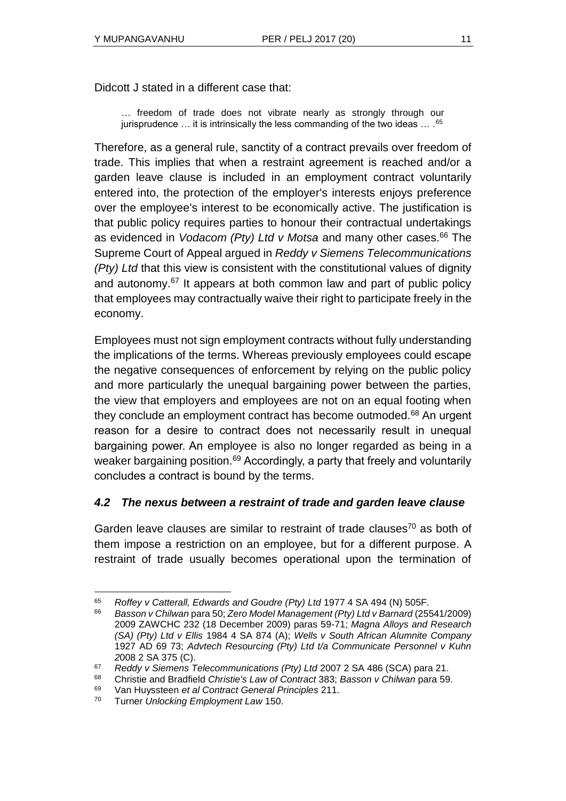Didcott J stated in a different case that:

… freedom of trade does not vibrate nearly as strongly through our jurisprudence ... it is intrinsically the less commanding of the two ideas ... . 65

Therefore, as a general rule, sanctity of a contract prevails over freedom of trade. This implies that when a restraint agreement is reached and/or a garden leave clause is included in an employment contract voluntarily entered into, the protection of the employer's interests enjoys preference over the employee's interest to be economically active. The justification is that public policy requires parties to honour their contractual undertakings as evidenced in *Vodacom (Pty) Ltd v Motsa* and many other cases. <sup>66</sup> The Supreme Court of Appeal argued in *Reddy v Siemens Telecommunications (Pty) Ltd* that this view is consistent with the constitutional values of dignity and autonomy.<sup>67</sup> It appears at both common law and part of public policy that employees may contractually waive their right to participate freely in the economy.

Employees must not sign employment contracts without fully understanding the implications of the terms. Whereas previously employees could escape the negative consequences of enforcement by relying on the public policy and more particularly the unequal bargaining power between the parties, the view that employers and employees are not on an equal footing when they conclude an employment contract has become outmoded.<sup>68</sup> An urgent reason for a desire to contract does not necessarily result in unequal bargaining power. An employee is also no longer regarded as being in a weaker bargaining position.<sup>69</sup> Accordingly, a party that freely and voluntarily concludes a contract is bound by the terms.

## *4.2 The nexus between a restraint of trade and garden leave clause*

Garden leave clauses are similar to restraint of trade clauses $70$  as both of them impose a restriction on an employee, but for a different purpose. A restraint of trade usually becomes operational upon the termination of

l <sup>65</sup> *Roffey v Catterall, Edwards and Goudre (Pty) Ltd* 1977 4 SA 494 (N) 505F.

<sup>66</sup> *Basson v Chilwan* para 50; *Zero Model Management (Pty) Ltd v Barnard* (25541/2009) 2009 ZAWCHC 232 (18 December 2009) paras 59-71; *Magna Alloys and Research (SA) (Pty) Ltd v Ellis* 1984 4 SA 874 (A); *Wells v South African Alumnite Company* 1927 AD 69 73; *Advtech Resourcing (Pty) Ltd t/a Communicate Personnel v Kuhn 2*008 2 SA 375 (C).

<sup>67</sup> *Reddy v Siemens Telecommunications (Pty) Ltd* 2007 2 SA 486 (SCA) para 21.

<sup>68</sup> Christie and Bradfield *Christie's Law of Contract* 383; *Basson v Chilwan* para 59.

<sup>69</sup> Van Huyssteen *et al Contract General Principles* 211.

<sup>70</sup> Turner *Unlocking Employment Law* 150.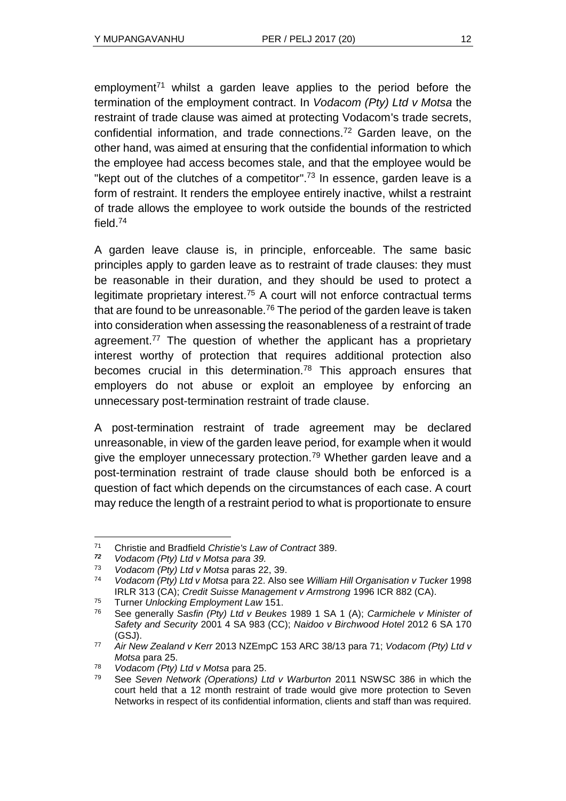employment<sup>71</sup> whilst a garden leave applies to the period before the termination of the employment contract. In *Vodacom (Pty) Ltd v Motsa* the restraint of trade clause was aimed at protecting Vodacom's trade secrets, confidential information, and trade connections.<sup>72</sup> Garden leave, on the other hand, was aimed at ensuring that the confidential information to which the employee had access becomes stale, and that the employee would be "kept out of the clutches of a competitor".<sup>73</sup> In essence, garden leave is a form of restraint. It renders the employee entirely inactive, whilst a restraint of trade allows the employee to work outside the bounds of the restricted field.<sup>74</sup>

A garden leave clause is, in principle, enforceable. The same basic principles apply to garden leave as to restraint of trade clauses: they must be reasonable in their duration, and they should be used to protect a legitimate proprietary interest.<sup>75</sup> A court will not enforce contractual terms that are found to be unreasonable.<sup>76</sup> The period of the garden leave is taken into consideration when assessing the reasonableness of a restraint of trade agreement.<sup>77</sup> The question of whether the applicant has a proprietary interest worthy of protection that requires additional protection also becomes crucial in this determination.<sup>78</sup> This approach ensures that employers do not abuse or exploit an employee by enforcing an unnecessary post-termination restraint of trade clause.

A post-termination restraint of trade agreement may be declared unreasonable, in view of the garden leave period, for example when it would give the employer unnecessary protection.<sup>79</sup> Whether garden leave and a post-termination restraint of trade clause should both be enforced is a question of fact which depends on the circumstances of each case. A court may reduce the length of a restraint period to what is proportionate to ensure

l <sup>71</sup> Christie and Bradfield *Christie's Law of Contract* 389.

*<sup>72</sup> Vodacom (Pty) Ltd v Motsa para 39.*

<sup>73</sup> *Vodacom (Pty) Ltd v Motsa* paras 22, 39.

<sup>74</sup> *Vodacom (Pty) Ltd v Motsa* para 22. Also see *William Hill Organisation v Tucker* 1998 IRLR 313 (CA); *Credit Suisse Management v Armstrong* 1996 ICR 882 (CA).

<sup>75</sup> Turner *Unlocking Employment Law* 151.

<sup>76</sup> See generally *Sasfin (Pty) Ltd v Beukes* 1989 1 SA 1 (A); *Carmichele v Minister of Safety and Security* 2001 4 SA 983 (CC); *Naidoo v Birchwood Hotel* 2012 6 SA 170 (GSJ).

<sup>77</sup> *Air New Zealand v Kerr* 2013 NZEmpC [153 ARC 38/13](http://www.saflii.org/cgi-bin/LawCite?cit=153%20ARC%2038%2f13) para 71; *Vodacom (Pty) Ltd v Motsa* para 25.

<sup>78</sup> *Vodacom (Pty) Ltd v Motsa* para 25.

<sup>79</sup> See *Seven Network (Operations) Ltd v Warburton* 2011 NSWSC 386 in which the court held that a 12 month restraint of trade would give more protection to Seven Networks in respect of its confidential information, clients and staff than was required.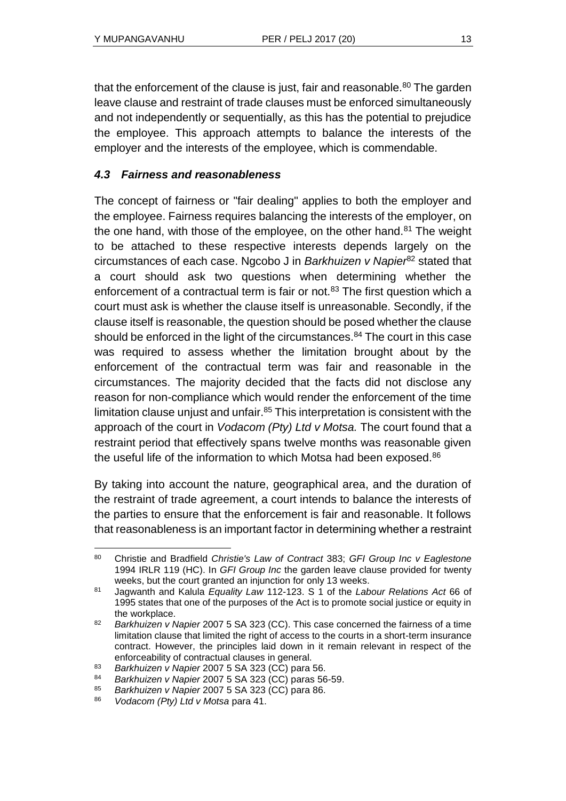that the enforcement of the clause is just, fair and reasonable. $80$  The garden leave clause and restraint of trade clauses must be enforced simultaneously and not independently or sequentially, as this has the potential to prejudice the employee. This approach attempts to balance the interests of the employer and the interests of the employee, which is commendable.

## *4.3 Fairness and reasonableness*

The concept of fairness or "fair dealing" applies to both the employer and the employee. Fairness requires balancing the interests of the employer, on the one hand, with those of the employee, on the other hand. $81$  The weight to be attached to these respective interests depends largely on the circumstances of each case. Ngcobo J in *Barkhuizen v Napier*<sup>82</sup> stated that a court should ask two questions when determining whether the enforcement of a contractual term is fair or not.<sup>83</sup> The first question which a court must ask is whether the clause itself is unreasonable. Secondly, if the clause itself is reasonable, the question should be posed whether the clause should be enforced in the light of the circumstances. $84$  The court in this case was required to assess whether the limitation brought about by the enforcement of the contractual term was fair and reasonable in the circumstances. The majority decided that the facts did not disclose any reason for non-compliance which would render the enforcement of the time limitation clause unjust and unfair. $85$  This interpretation is consistent with the approach of the court in *Vodacom (Pty) Ltd v Motsa.* The court found that a restraint period that effectively spans twelve months was reasonable given the useful life of the information to which Motsa had been exposed.<sup>86</sup>

By taking into account the nature, geographical area, and the duration of the restraint of trade agreement, a court intends to balance the interests of the parties to ensure that the enforcement is fair and reasonable. It follows that reasonableness is an important factor in determining whether a restraint

l <sup>80</sup> Christie and Bradfield *Christie's Law of Contract* 383; *GFI Group Inc v Eaglestone*  1994 IRLR 119 (HC). In *GFI Group Inc* the garden leave clause provided for twenty weeks, but the court granted an injunction for only 13 weeks.

<sup>81</sup> Jagwanth and Kalula *Equality Law* 112-123. S 1 of the *Labour Relations Act* 66 of 1995 states that one of the purposes of the Act is to promote social justice or equity in the workplace.

<sup>82</sup> *Barkhuizen v Napier* 2007 5 SA 323 (CC). This case concerned the fairness of a time limitation clause that limited the right of access to the courts in a short-term insurance contract. However, the principles laid down in it remain relevant in respect of the enforceability of contractual clauses in general.

<sup>83</sup> *Barkhuizen v Napier* 2007 5 SA 323 (CC) para 56.

<sup>84</sup> *Barkhuizen v Napier* 2007 5 SA 323 (CC) paras 56-59.

<sup>85</sup> *Barkhuizen v Napier* 2007 5 SA 323 (CC) para 86.

<sup>86</sup> *Vodacom (Pty) Ltd v Motsa* para 41.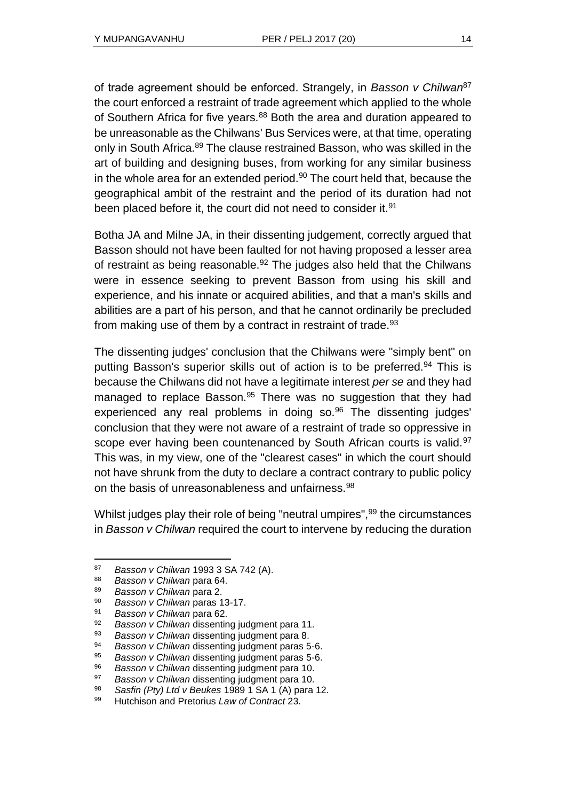of trade agreement should be enforced. Strangely, in *Basson v Chilwan*<sup>87</sup> the court enforced a restraint of trade agreement which applied to the whole of Southern Africa for five years.<sup>88</sup> Both the area and duration appeared to be unreasonable as the Chilwans' Bus Services were, at that time, operating only in South Africa.<sup>89</sup> The clause restrained Basson, who was skilled in the art of building and designing buses, from working for any similar business in the whole area for an extended period. $90$  The court held that, because the geographical ambit of the restraint and the period of its duration had not been placed before it, the court did not need to consider it.<sup>91</sup>

Botha JA and Milne JA, in their dissenting judgement, correctly argued that Basson should not have been faulted for not having proposed a lesser area of restraint as being reasonable. $92$  The judges also held that the Chilwans were in essence seeking to prevent Basson from using his skill and experience, and his innate or acquired abilities, and that a man's skills and abilities are a part of his person, and that he cannot ordinarily be precluded from making use of them by a contract in restraint of trade.<sup>93</sup>

The dissenting judges' conclusion that the Chilwans were "simply bent" on putting Basson's superior skills out of action is to be preferred.<sup>94</sup> This is because the Chilwans did not have a legitimate interest *per se* and they had managed to replace Basson.<sup>95</sup> There was no suggestion that they had experienced any real problems in doing so.<sup>96</sup> The dissenting judges' conclusion that they were not aware of a restraint of trade so oppressive in scope ever having been countenanced by South African courts is valid.<sup>97</sup> This was, in my view, one of the "clearest cases" in which the court should not have shrunk from the duty to declare a contract contrary to public policy on the basis of unreasonableness and unfairness.<sup>98</sup>

Whilst judges play their role of being "neutral umpires",<sup>99</sup> the circumstances in *Basson v Chilwan* required the court to intervene by reducing the duration

l <sup>87</sup> *Basson v Chilwan* 1993 3 SA 742 (A).

<sup>88</sup> *Basson v Chilwan* para 64.

<sup>89</sup> *Basson v Chilwan* para 2.

**Basson v Chilwan paras 13-17.** 

<sup>91</sup> *Basson v Chilwan* para 62.

**Basson v Chilwan dissenting judgment para 11.** 

<sup>93</sup> *Basson v Chilwan* dissenting judgment para 8.

<sup>94</sup> *Basson v Chilwan* dissenting judgment paras 5-6.

<sup>95</sup> *Basson v Chilwan* dissenting judgment paras 5-6.

<sup>96</sup> *Basson v Chilwan* dissenting judgment para 10.

<sup>97</sup> *Basson v Chilwan* dissenting judgment para 10.

<sup>98</sup> *Sasfin (Pty) Ltd v Beukes* 1989 1 SA 1 (A) para 12.

<sup>99</sup> Hutchison and Pretorius *Law of Contract* 23.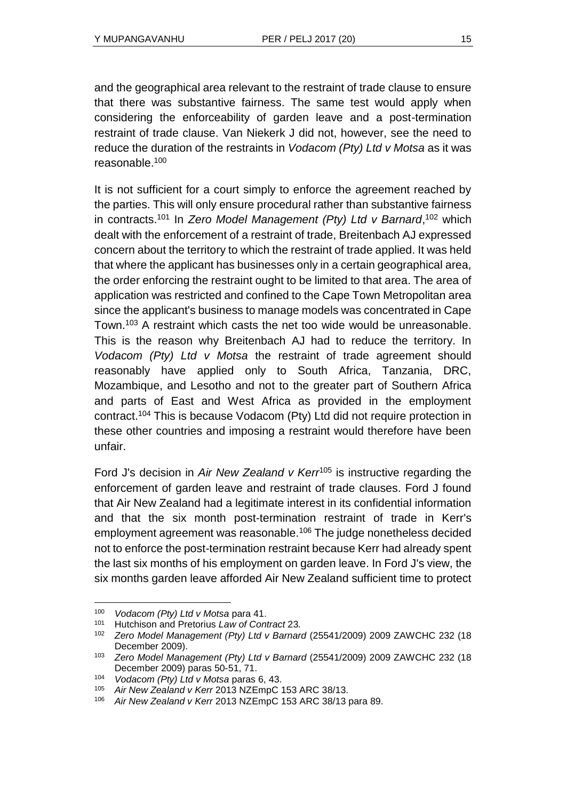and the geographical area relevant to the restraint of trade clause to ensure that there was substantive fairness. The same test would apply when considering the enforceability of garden leave and a post-termination restraint of trade clause. Van Niekerk J did not, however, see the need to reduce the duration of the restraints in *Vodacom (Pty) Ltd v Motsa* as it was reasonable.<sup>100</sup>

It is not sufficient for a court simply to enforce the agreement reached by the parties. This will only ensure procedural rather than substantive fairness in contracts.<sup>101</sup> In *Zero Model Management (Pty) Ltd v Barnard*, <sup>102</sup> which dealt with the enforcement of a restraint of trade, Breitenbach AJ expressed concern about the territory to which the restraint of trade applied. It was held that where the applicant has businesses only in a certain geographical area, the order enforcing the restraint ought to be limited to that area. The area of application was restricted and confined to the Cape Town Metropolitan area since the applicant's business to manage models was concentrated in Cape Town.<sup>103</sup> A restraint which casts the net too wide would be unreasonable. This is the reason why Breitenbach AJ had to reduce the territory. In *Vodacom (Pty) Ltd v Motsa* the restraint of trade agreement should reasonably have applied only to South Africa, Tanzania, DRC, Mozambique, and Lesotho and not to the greater part of Southern Africa and parts of East and West Africa as provided in the employment contract. <sup>104</sup> This is because Vodacom (Pty) Ltd did not require protection in these other countries and imposing a restraint would therefore have been unfair.

Ford J's decision in *Air New Zealand v Kerr*<sup>105</sup> is instructive regarding the enforcement of garden leave and restraint of trade clauses. Ford J found that Air New Zealand had a legitimate interest in its confidential information and that the six month post-termination restraint of trade in Kerr's employment agreement was reasonable.<sup>106</sup> The judge nonetheless decided not to enforce the post-termination restraint because Kerr had already spent the last six months of his employment on garden leave. In Ford J's view, the six months garden leave afforded Air New Zealand sufficient time to protect

<sup>100</sup> *Vodacom (Pty) Ltd v Motsa* para 41.

<sup>101</sup> Hutchison and Pretorius *Law of Contract* 23*.*

<sup>102</sup> *Zero Model Management (Pty) Ltd v Barnard* (25541/2009) 2009 ZAWCHC 232 (18 December 2009).

<sup>103</sup> *Zero Model Management (Pty) Ltd v Barnard* (25541/2009) 2009 ZAWCHC 232 (18 December 2009) paras 50-51, 71.

<sup>104</sup> *Vodacom (Pty) Ltd v Motsa* paras 6, 43.

<sup>105</sup> *Air New Zealand v Kerr* 2013 NZEmpC 153 ARC 38/13.

<sup>106</sup> *Air New Zealand v Kerr* 2013 NZEmpC [153 ARC 38/13](http://www.saflii.org/cgi-bin/LawCite?cit=153%20ARC%2038%2f13) para 89.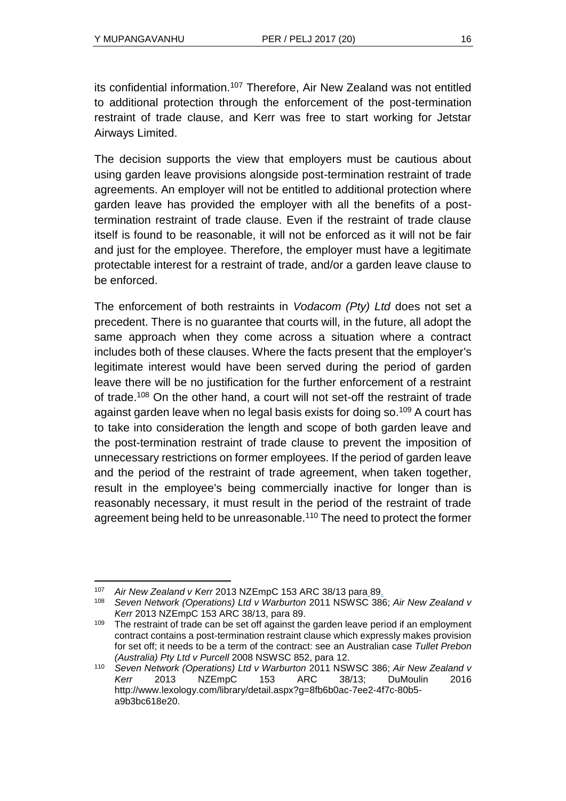its confidential information.<sup>107</sup> Therefore, Air New Zealand was not entitled to additional protection through the enforcement of the post-termination restraint of trade clause, and Kerr was free to start working for Jetstar Airways Limited.

The decision supports the view that employers must be cautious about using garden leave provisions alongside post-termination restraint of trade agreements. An employer will not be entitled to additional protection where garden leave has provided the employer with all the benefits of a posttermination restraint of trade clause. Even if the restraint of trade clause itself is found to be reasonable, it will not be enforced as it will not be fair and just for the employee. Therefore, the employer must have a legitimate protectable interest for a restraint of trade, and/or a garden leave clause to be enforced.

The enforcement of both restraints in *Vodacom (Pty) Ltd* does not set a precedent. There is no guarantee that courts will, in the future, all adopt the same approach when they come across a situation where a contract includes both of these clauses. Where the facts present that the employer's legitimate interest would have been served during the period of garden leave there will be no justification for the further enforcement of a restraint of trade.<sup>108</sup> On the other hand, a court will not set-off the restraint of trade against garden leave when no legal basis exists for doing so.<sup>109</sup> A court has to take into consideration the length and scope of both garden leave and the post-termination restraint of trade clause to prevent the imposition of unnecessary restrictions on former employees. If the period of garden leave and the period of the restraint of trade agreement, when taken together, result in the employee's being commercially inactive for longer than is reasonably necessary, it must result in the period of the restraint of trade agreement being held to be unreasonable.<sup>110</sup> The need to protect the former

<sup>107</sup> *Air New Zealand v Kerr* 2013 NZEmpC [153 ARC 38/13](http://www.saflii.org/cgi-bin/LawCite?cit=153%20ARC%2038%2f13) para 89.

<sup>108</sup> *Seven Network (Operations) Ltd v Warburton* 2011 NSWSC 386; *Air New Zealand v Kerr* 2013 NZEmpC [153 ARC 38/13,](http://www.saflii.org/cgi-bin/LawCite?cit=153%20ARC%2038%2f13) para 89.

<sup>&</sup>lt;sup>109</sup> The restraint of trade can be set off against the garden leave period if an employment contract contains a post-termination restraint clause which expressly makes provision for set off; it needs to be a term of the contract: see an Australian case *Tullet Prebon (Australia) Pty Ltd v Purcell* 2008 NSWSC 852, para 12.

<sup>110</sup> *Seven Network (Operations) Ltd v Warburton* 2011 NSWSC 386; *Air New Zealand v Kerr* 2013 NZEmpC [153 ARC 38/13;](http://www.saflii.org/cgi-bin/LawCite?cit=153%20ARC%2038%2f13) DuMoulin 2016 [http://www.lexology.com/library/detail.aspx?g=8fb6b0ac-7ee2-4f7c-80b5](http://www.lexology.com/library/detail.aspx?g=8fb6b0ac-7ee2-4f7c-80b5-a9b3bc618e20) [a9b3bc618e20.](http://www.lexology.com/library/detail.aspx?g=8fb6b0ac-7ee2-4f7c-80b5-a9b3bc618e20)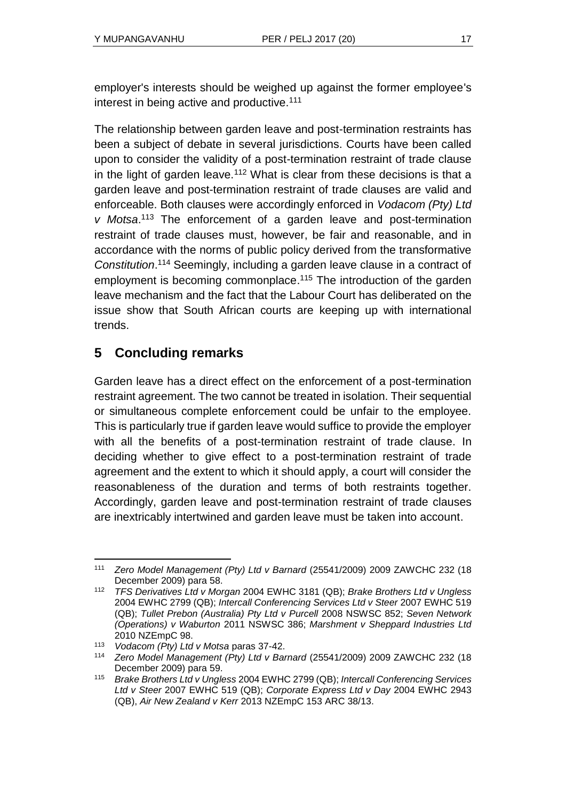employer's interests should be weighed up against the former employee's interest in being active and productive.<sup>111</sup>

The relationship between garden leave and post-termination restraints has been a subject of debate in several jurisdictions. Courts have been called upon to consider the validity of a post-termination restraint of trade clause in the light of garden leave.<sup>112</sup> What is clear from these decisions is that a garden leave and post-termination restraint of trade clauses are valid and enforceable. Both clauses were accordingly enforced in *Vodacom (Pty) Ltd v Motsa*. <sup>113</sup> The enforcement of a garden leave and post-termination restraint of trade clauses must, however, be fair and reasonable, and in accordance with the norms of public policy derived from the transformative *Constitution*. <sup>114</sup> Seemingly, including a garden leave clause in a contract of employment is becoming commonplace.<sup>115</sup> The introduction of the garden leave mechanism and the fact that the Labour Court has deliberated on the issue show that South African courts are keeping up with international trends.

# **5 Concluding remarks**

Garden leave has a direct effect on the enforcement of a post-termination restraint agreement. The two cannot be treated in isolation. Their sequential or simultaneous complete enforcement could be unfair to the employee. This is particularly true if garden leave would suffice to provide the employer with all the benefits of a post-termination restraint of trade clause. In deciding whether to give effect to a post-termination restraint of trade agreement and the extent to which it should apply, a court will consider the reasonableness of the duration and terms of both restraints together. Accordingly, garden leave and post-termination restraint of trade clauses are inextricably intertwined and garden leave must be taken into account.

l <sup>111</sup> *Zero Model Management (Pty) Ltd v Barnard* (25541/2009) 2009 ZAWCHC 232 (18 December 2009) para 58.

<sup>112</sup> *TFS Derivatives Ltd v Morgan* 2004 EWHC 3181 (QB); *Brake Brothers Ltd v Ungless*  2004 EWHC 2799 (QB); *Intercall Conferencing Services Ltd v Steer* 2007 EWHC 519 (QB); *Tullet Prebon (Australia) Pty Ltd v Purcell* 2008 NSWSC 852; *Seven Network (Operations) v Waburton* 2011 NSWSC 386; *Marshment v Sheppard Industries Ltd* 2010 NZEmpC 98.

<sup>113</sup> *Vodacom (Pty) Ltd v Motsa* paras 37-42.

<sup>114</sup> *Zero Model Management (Pty) Ltd v Barnard* (25541/2009) 2009 ZAWCHC 232 (18 December 2009) para 59.

<sup>115</sup> *Brake Brothers Ltd v Ungless* 2004 EWHC 2799 (QB); *Intercall Conferencing Services Ltd v Steer* 2007 EWHC 519 (QB); *Corporate Express Ltd v Day* 2004 EWHC 2943 (QB), *Air New Zealand v Kerr* 2013 NZEmpC [153 ARC 38/13.](http://www.saflii.org/cgi-bin/LawCite?cit=153%20ARC%2038%2f13)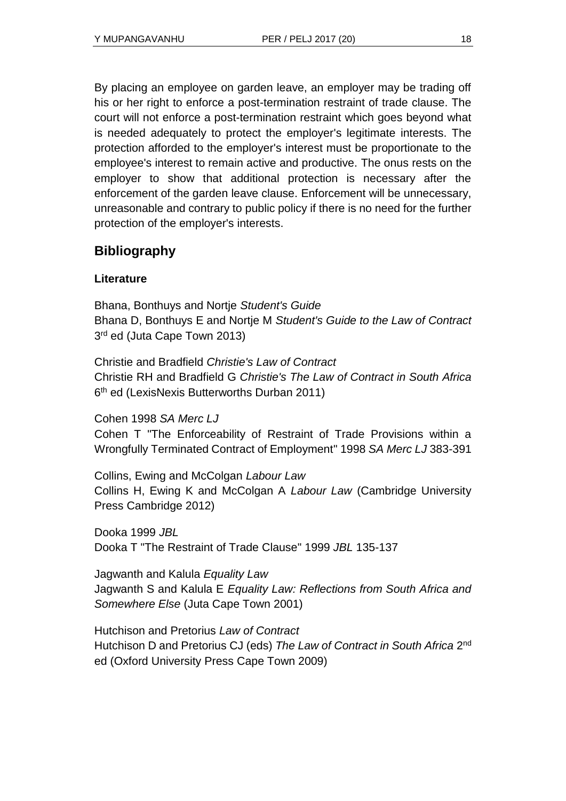By placing an employee on garden leave, an employer may be trading off his or her right to enforce a post-termination restraint of trade clause. The court will not enforce a post-termination restraint which goes beyond what is needed adequately to protect the employer's legitimate interests. The protection afforded to the employer's interest must be proportionate to the employee's interest to remain active and productive. The onus rests on the employer to show that additional protection is necessary after the enforcement of the garden leave clause. Enforcement will be unnecessary, unreasonable and contrary to public policy if there is no need for the further protection of the employer's interests.

# **Bibliography**

## **Literature**

Bhana, Bonthuys and Nortje *Student's Guide* Bhana D, Bonthuys E and Nortje M *Student's Guide to the Law of Contract*  3<sup>rd</sup> ed (Juta Cape Town 2013)

Christie and Bradfield *Christie's Law of Contract* Christie RH and Bradfield G *Christie's The Law of Contract in South Africa* 6<sup>th</sup> ed (LexisNexis Butterworths Durban 2011)

Cohen 1998 *SA Merc LJ*

Cohen T "The Enforceability of Restraint of Trade Provisions within a Wrongfully Terminated Contract of Employment" 1998 *SA Merc LJ* 383-391

Collins, Ewing and McColgan *Labour Law* Collins H, Ewing K and McColgan A *Labour Law* (Cambridge University Press Cambridge 2012)

Dooka 1999 *JBL* Dooka T "The Restraint of Trade Clause" 1999 *JBL* 135-137

Jagwanth and Kalula *Equality Law* Jagwanth S and Kalula E *Equality Law: Reflections from South Africa and Somewhere Else* (Juta Cape Town 2001)

Hutchison and Pretorius *Law of Contract* Hutchison D and Pretorius CJ (eds) The Law of Contract in South Africa 2<sup>nd</sup> ed (Oxford University Press Cape Town 2009)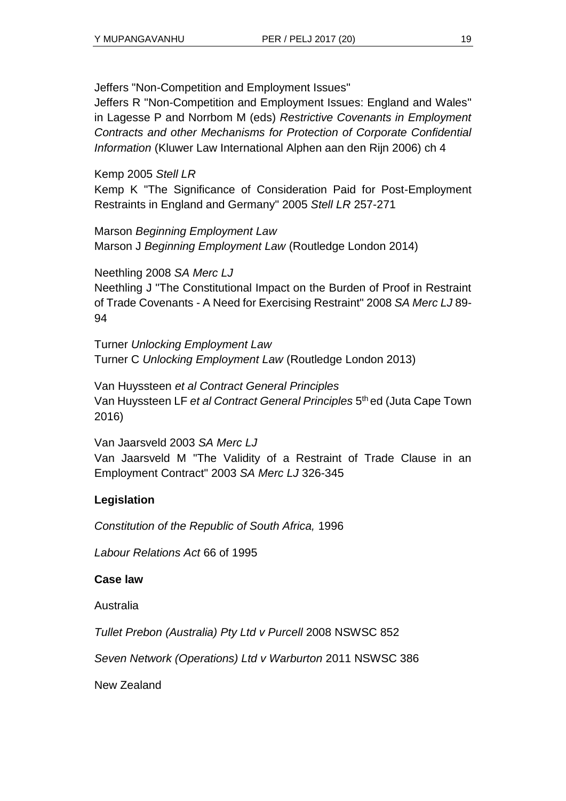Jeffers "Non-Competition and Employment Issues"

Jeffers R "Non-Competition and Employment Issues: England and Wales" in Lagesse P and Norrbom M (eds) *Restrictive Covenants in Employment Contracts and other Mechanisms for Protection of Corporate Confidential Information* (Kluwer Law International Alphen aan den Rijn 2006) ch 4

Kemp 2005 *Stell LR*

Kemp K "The Significance of Consideration Paid for Post-Employment Restraints in England and Germany" 2005 *Stell LR* 257-271

Marson *Beginning Employment Law* Marson J *Beginning Employment Law* (Routledge London 2014)

Neethling 2008 *SA Merc LJ*

Neethling J "The Constitutional Impact on the Burden of Proof in Restraint of Trade Covenants - A Need for Exercising Restraint" 2008 *SA Merc LJ* 89- 94

Turner *Unlocking Employment Law* Turner C *Unlocking Employment Law* (Routledge London 2013)

Van Huyssteen *et al Contract General Principles* Van Huyssteen LF *et al Contract General Principles* 5 th ed (Juta Cape Town 2016)

Van Jaarsveld 2003 *SA Merc LJ*  Van Jaarsveld M "The Validity of a Restraint of Trade Clause in an Employment Contract" 2003 *SA Merc LJ* 326-345

# **Legislation**

*Constitution of the Republic of South Africa,* 1996

*Labour Relations Act* 66 of 1995

## **Case law**

Australia

*Tullet Prebon (Australia) Pty Ltd v Purcell* 2008 NSWSC 852

*Seven Network (Operations) Ltd v Warburton* 2011 NSWSC 386

New Zealand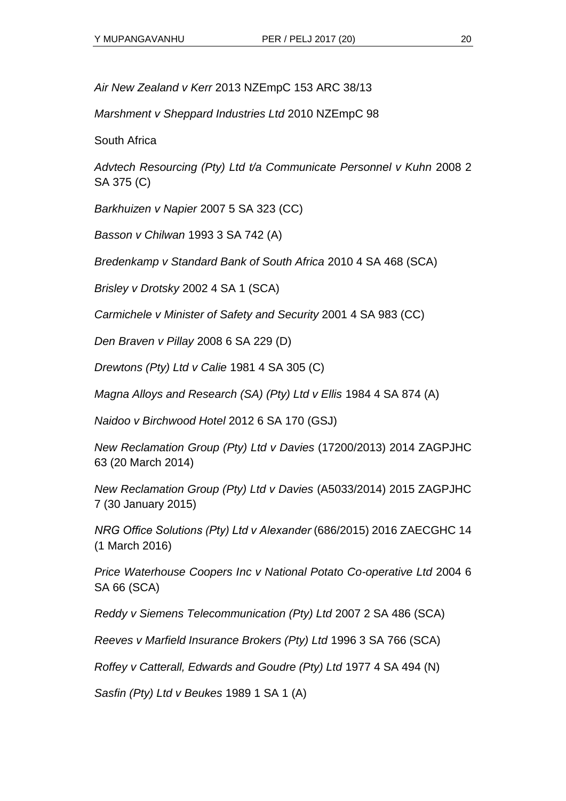*Air New Zealand v Kerr* 2013 NZEmpC 153 ARC 38/13

*Marshment v Sheppard Industries Ltd* 2010 NZEmpC 98

South Africa

*Advtech Resourcing (Pty) Ltd t/a Communicate Personnel v Kuhn* 2008 2 SA 375 (C)

*Barkhuizen v Napier* 2007 5 SA 323 (CC)

*Basson v Chilwan* 1993 3 SA 742 (A)

*Bredenkamp v Standard Bank of South Africa* 2010 4 SA 468 (SCA)

*Brisley v Drotsky* 2002 4 SA 1 (SCA)

*Carmichele v Minister of Safety and Security* 2001 4 SA 983 (CC)

*Den Braven v Pillay* 2008 6 SA 229 (D)

*Drewtons (Pty) Ltd v Calie* 1981 4 SA 305 (C)

*Magna Alloys and Research (SA) (Pty) Ltd v Ellis* 1984 4 SA 874 (A)

*Naidoo v Birchwood Hotel* 2012 6 SA 170 (GSJ)

*New Reclamation Group (Pty) Ltd v Davies* (17200/2013) 2014 ZAGPJHC 63 (20 March 2014)

*New Reclamation Group (Pty) Ltd v Davies* (A5033/2014) 2015 ZAGPJHC 7 (30 January 2015)

*NRG Office Solutions (Pty) Ltd v Alexander* (686/2015) 2016 ZAECGHC 14 (1 March 2016)

*Price Waterhouse Coopers Inc v National Potato Co-operative Ltd* 2004 6 SA 66 (SCA)

*Reddy v Siemens Telecommunication (Pty) Ltd* 2007 2 SA 486 (SCA)

*Reeves v Marfield Insurance Brokers (Pty) Ltd* 1996 3 SA 766 (SCA)

*Roffey v Catterall, Edwards and Goudre (Pty) Ltd* 1977 4 SA 494 (N)

*Sasfin (Pty) Ltd v Beukes* 1989 1 SA 1 (A)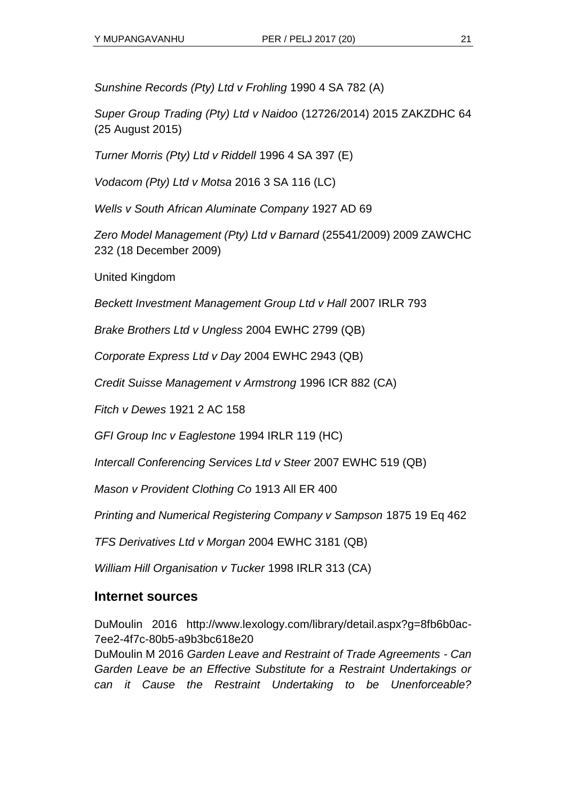*Sunshine Records (Pty) Ltd v Frohling* 1990 4 SA 782 (A)

*Super Group Trading (Pty) Ltd v Naidoo* (12726/2014) 2015 ZAKZDHC 64 (25 August 2015)

*Turner Morris (Pty) Ltd v Riddell* 1996 4 SA 397 (E)

*Vodacom (Pty) Ltd v Motsa* 2016 3 SA 116 (LC)

*Wells v South African Aluminate Company* 1927 AD 69

*Zero Model Management (Pty) Ltd v Barnard* (25541/2009) 2009 ZAWCHC 232 (18 December 2009)

United Kingdom

*Beckett Investment Management Group Ltd v Hall* 2007 IRLR 793

*Brake Brothers Ltd v Ungless* 2004 EWHC 2799 (QB)

*Corporate Express Ltd v Day* 2004 EWHC 2943 (QB)

*Credit Suisse Management v Armstrong* 1996 ICR 882 (CA)

*Fitch v Dewes* 1921 2 AC 158

*GFI Group Inc v Eaglestone* 1994 IRLR 119 (HC)

*Intercall Conferencing Services Ltd v Steer* 2007 EWHC 519 (QB)

*Mason v Provident Clothing Co* 1913 All ER 400

*Printing and Numerical Registering Company v Sampson* 1875 19 Eq 462

*TFS Derivatives Ltd v Morgan* 2004 EWHC 3181 (QB)

*William Hill Organisation v Tucker* 1998 IRLR 313 (CA)

## **Internet sources**

DuMoulin 2016 http://www.lexology.com/library/detail.aspx?g=8fb6b0ac-7ee2-4f7c-80b5-a9b3bc618e20

DuMoulin M 2016 *Garden Leave and Restraint of Trade Agreements - Can Garden Leave be an Effective Substitute for a Restraint Undertakings or can it Cause the Restraint Undertaking to be Unenforceable?*